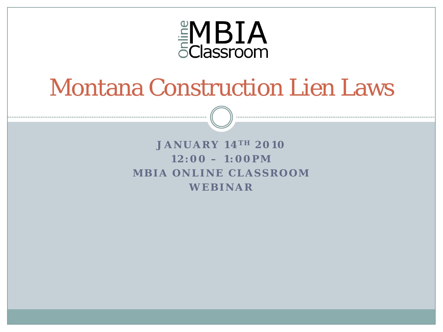

# Montana Construction Lien Laws

#### **JANUARY 14TH 2010 12:00 – 1:00PM MBIA ONLINE CLASSROOM WEBINAR**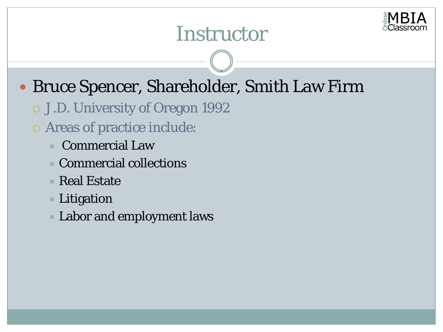

### **Instructor**

#### Bruce Spencer, Shareholder, Smith Law Firm

- J.D. University of Oregon 1992
- Areas of practice include:
	- Commercial Law
	- Commercial collections
	- $\times$  Real Estate
	- Litigation
	- Labor and employment laws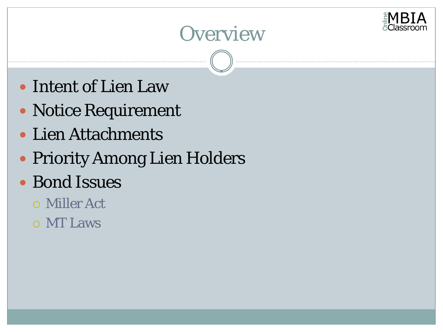

## **Overview**

- Intent of Lien Law
- Notice Requirement
- Lien Attachments
- Priority Among Lien Holders
- Bond Issues
	- Miller Act
	- MT Laws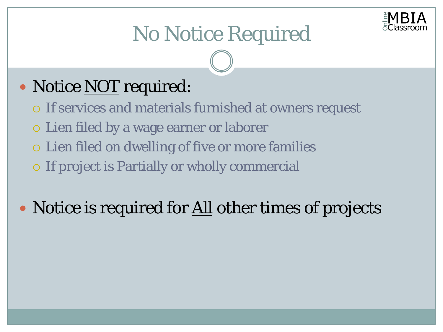

# No Notice Required

#### Notice *NOT* required:

- o If services and materials furnished at owners request
- Lien filed by a wage earner or laborer
- Lien filed on dwelling of five or more families
- If project is Partially or wholly commercial

#### • Notice is required for <u>All</u> other times of projects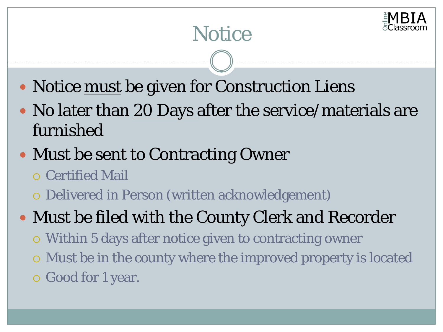

# **Notice**

- Notice *must* be given for Construction Liens
- No later than 20 Days after the service/materials are furnished
- Must be sent to Contracting Owner
	- Certified Mail
	- Delivered in Person (written acknowledgement)
- Must be filed with the County Clerk and Recorder
	- Within 5 days after notice given to contracting owner
	- Must be in the county where the improved property is located
	- Good for 1 year.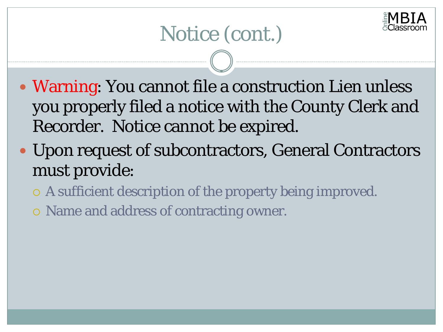

# Notice (cont.)

- Warning: You cannot file a construction Lien unless you properly filed a notice with the County Clerk and Recorder. Notice cannot be expired.
- Upon request of subcontractors, General Contractors must provide:
	- A sufficient description of the property being improved.
	- Name and address of contracting owner.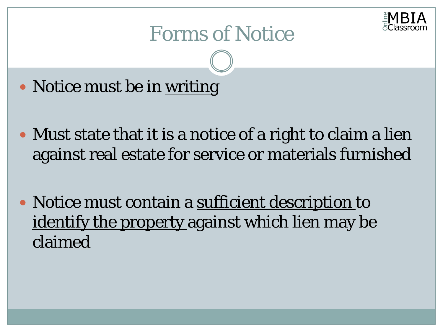

### Forms of Notice

- Notice must be in writing
- Must state that it is a <u>notice of a right to claim a lien</u> against real estate for service or materials furnished
- Notice must contain a sufficient description to identify the property against which lien may be claimed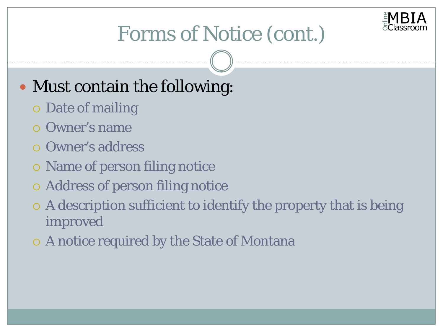

# Forms of Notice (cont.)

#### • Must contain the following:

- Date of mailing
- Owner's name
- Owner's address
- Name of person filing notice
- Address of person filing notice
- A description sufficient to identify the property that is being improved
- A notice required by the State of Montana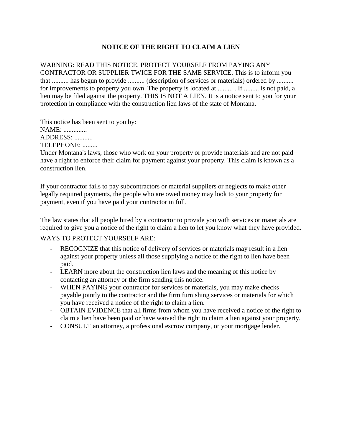#### **NOTICE OF THE RIGHT TO CLAIM A LIEN**

#### WARNING: READ THIS NOTICE. PROTECT YOURSELF FROM PAYING ANY CONTRACTOR OR SUPPLIER TWICE FOR THE SAME SERVICE. This is to inform you that .......... has begun to provide .......... (description of services or materials) ordered by .......... for improvements to property you own. The property is located at .......... If ......... is not paid, a lien may be filed against the property. THIS IS NOT A LIEN. It is a notice sent to you for your protection in compliance with the construction lien laws of the state of Montana.

This notice has been sent to you by: NAME: .............. ADDRESS: ........... TELEPHONE: .........

Under Montana's laws, those who work on your property or provide materials and are not paid have a right to enforce their claim for payment against your property. This claim is known as a construction lien.

If your contractor fails to pay subcontractors or material suppliers or neglects to make other legally required payments, the people who are owed money may look to your property for payment, even if you have paid your contractor in full.

The law states that all people hired by a contractor to provide you with services or materials are required to give you a notice of the right to claim a lien to let you know what they have provided.

#### WAYS TO PROTECT YOURSELF ARE:

- RECOGNIZE that this notice of delivery of services or materials may result in a lien against your property unless all those supplying a notice of the right to lien have been paid.
- LEARN more about the construction lien laws and the meaning of this notice by contacting an attorney or the firm sending this notice.
- WHEN PAYING your contractor for services or materials, you may make checks payable jointly to the contractor and the firm furnishing services or materials for which you have received a notice of the right to claim a lien.
- OBTAIN EVIDENCE that all firms from whom you have received a notice of the right to claim a lien have been paid or have waived the right to claim a lien against your property.
- CONSULT an attorney, a professional escrow company, or your mortgage lender.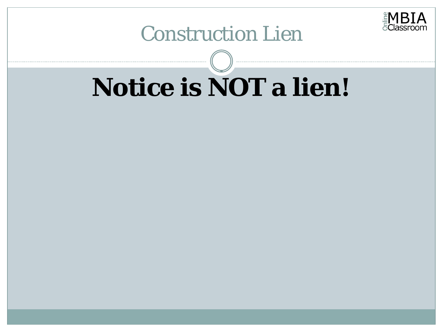

#### Construction Lien

# **Notice is NOT a lien!**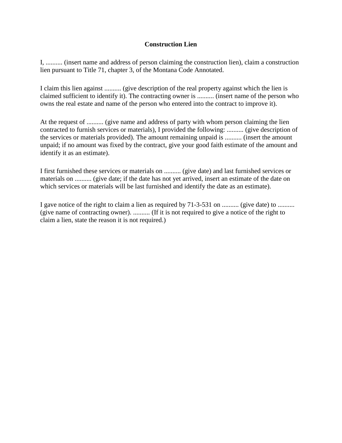#### **Construction Lien**

I, .......... (insert name and address of person claiming the construction lien), claim a construction lien pursuant to Title 71, chapter 3, of the Montana Code Annotated.

I claim this lien against .......... (give description of the real property against which the lien is claimed sufficient to identify it). The contracting owner is .......... (insert name of the person who owns the real estate and name of the person who entered into the contract to improve it).

At the request of .......... (give name and address of party with whom person claiming the lien contracted to furnish services or materials), I provided the following: .......... (give description of the services or materials provided). The amount remaining unpaid is .......... (insert the amount unpaid; if no amount was fixed by the contract, give your good faith estimate of the amount and identify it as an estimate).

I first furnished these services or materials on .......... (give date) and last furnished services or materials on .......... (give date; if the date has not yet arrived, insert an estimate of the date on which services or materials will be last furnished and identify the date as an estimate).

I gave notice of the right to claim a lien as required by 71-3-531 on .......... (give date) to .......... (give name of contracting owner). .......... (If it is not required to give a notice of the right to claim a lien, state the reason it is not required.)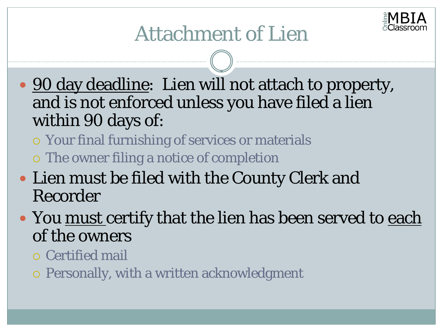

# Attachment of Lien

- 90 day deadline: Lien will not attach to property, and is not enforced unless you have filed a lien within 90 days of:
	- Your final furnishing of services or materials
	- The owner filing a notice of completion
- Lien must be filed with the County Clerk and Recorder
- You <u>must</u> certify that the lien has been served to <u>each</u> of the owners
	- Certified mail
	- Personally, with a written acknowledgment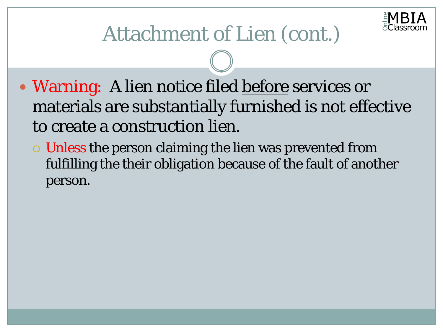

# Attachment of Lien (cont.)

- Warning: A lien notice filed before services or materials are substantially furnished is not effective to create a construction lien.
	- Unless the person claiming the lien was prevented from fulfilling the their obligation because of the fault of another person.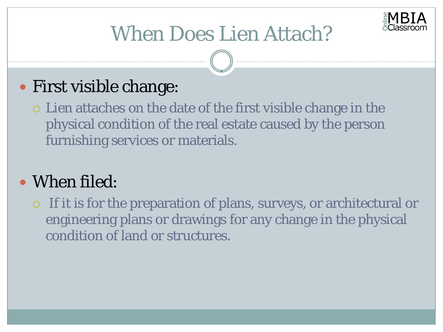

# When Does Lien Attach?

#### First visible change:

 Lien attaches on the date of the first visible change in the physical condition of the real estate caused by the person furnishing services or materials.

#### • When filed:

 If it is for the preparation of plans, surveys, or architectural or engineering plans or drawings for any change in the physical condition of land or structures.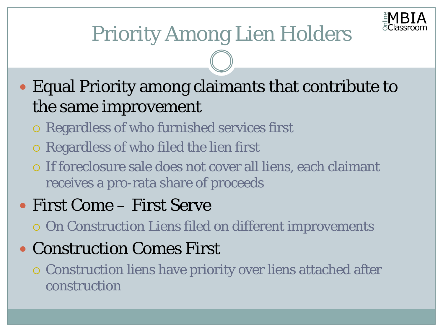

# Priority Among Lien Holders

#### Equal Priority among claimants that contribute to the same improvement

- Regardless of who furnished services first
- Regardless of who filed the lien first
- If foreclosure sale does not cover all liens, each claimant receives a pro-rata share of proceeds

#### First Come – First Serve

- On Construction Liens filed on different improvements
- Construction Comes First
	- Construction liens have priority over liens attached after construction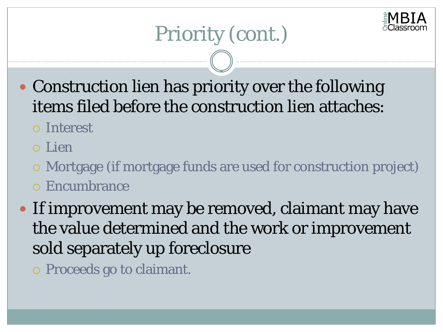

# Priority (cont.)

- Construction lien has priority over the following items filed before the construction lien attaches:
	- Interest
	- Lien
	- Mortgage (if mortgage funds are used for construction project)
	- Encumbrance
- If improvement may be removed, claimant may have the value determined and the work or improvement sold separately up foreclosure
	- Proceeds go to claimant.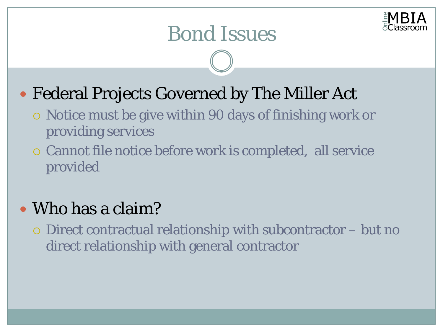

### Bond Issues

#### Federal Projects Governed by The Miller Act

- Notice must be give within 90 days of finishing work or providing services
- Cannot file notice before work is completed, all service provided

#### • Who has a claim?

 Direct contractual relationship with subcontractor – but no direct relationship with general contractor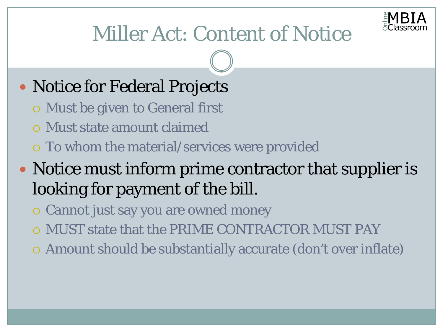

# Miller Act: Content of Notice

#### • Notice for Federal Projects

- Must be given to General first
- Must state amount claimed
- To whom the material/services were provided

#### • Notice must inform prime contractor that supplier is looking for payment of the bill.

- Cannot just say you are owned money
- MUST state that the PRIME CONTRACTOR MUST PAY
- Amount should be substantially accurate (don't over inflate)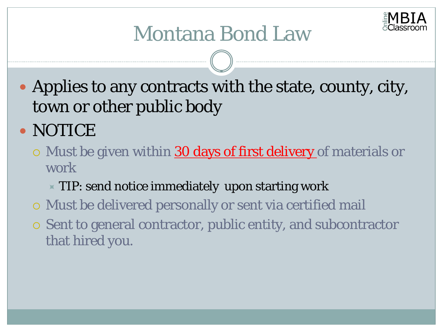

## Montana Bond Law

 Applies to any contracts with the state, county, city, town or other public body

• NOTICE

- o Must be given within 30 days of first delivery of materials or work
	- $\times$  TIP: send notice immediately upon starting work
- Must be delivered personally or sent via certified mail
- Sent to general contractor, public entity, and subcontractor that hired you.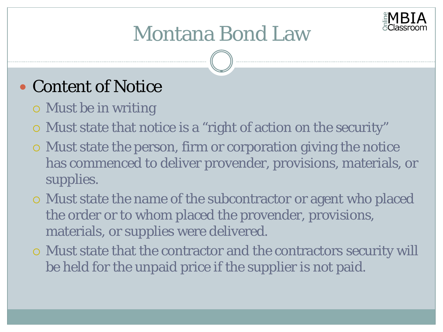

# Montana Bond Law

#### • Content of Notice

- Must be in writing
- Must state that notice is a "right of action on the security"
- Must state the person, firm or corporation giving the notice has commenced to deliver provender, provisions, materials, or supplies.
- Must state the name of the subcontractor or agent who placed the order or to whom placed the provender, provisions, materials, or supplies were delivered.
- Must state that the contractor and the contractors security will be held for the unpaid price if the supplier is not paid.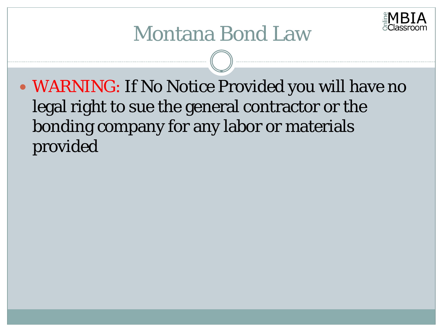

### Montana Bond Law

 WARNING: If No Notice Provided you will have no legal right to sue the general contractor or the bonding company for any labor or materials provided